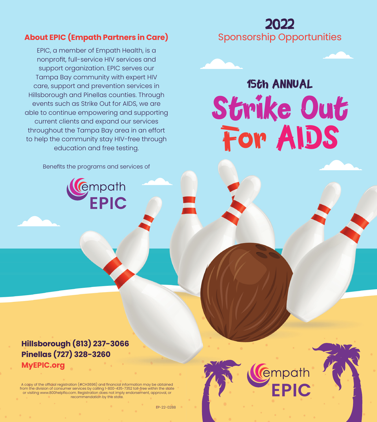### **About EPIC (Empath Partners in Care)**

EPIC, a member of Empath Health, is a nonprofit, full-service HIV services and support organization. EPIC serves our Tampa Bay community with expert HIV care, support and prevention services in Hillsborough and Pinellas counties. Through events such as Strike Out for AIDS, we are able to continue empowering and supporting current clients and expand our services throughout the Tampa Bay area in an effort to help the community stay HIV-free through education and free testing.

Benefits the programs and services of

**CEMPARANTE** 

Sponsorship Opportunities

2022

# Strike Out For AIDS 15th ANNUAL

**Hillsborough (813) 237-3066 Pinellas (727) 328-3260 MyEPIC.org**

A copy of the official registration (#CH3696) and financial information may be obtained<br>from the division of consumer services by calling 1-800-435-7352 toll-free within the state<br>or visiting www.800helpfla.com. Registrati recommendation by the state.

EP-22-0288